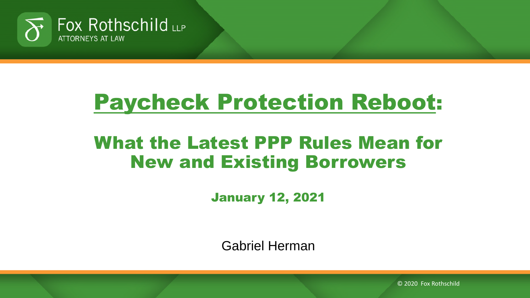

# Paycheck Protection Reboot:

#### What the Latest PPP Rules Mean for New and Existing Borrowers

January 12, 2021

Gabriel Herman

© 2020 Fox Rothschild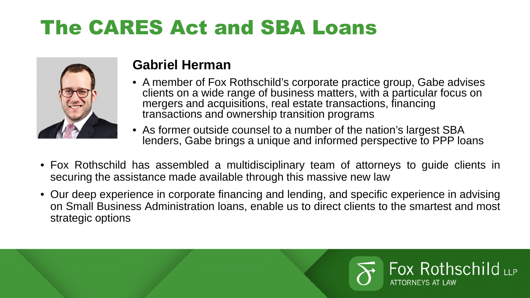#### The CARES Act and SBA Loans



#### **Gabriel Herman**

- A member of Fox Rothschild's corporate practice group, Gabe advises clients on a wide range of business matters, with a particular focus on mergers and acquisitions, real estate transactions, financing transactions and ownership transition programs
- As former outside counsel to a number of the nation's largest SBA lenders, Gabe brings a unique and informed perspective to PPP loans
- Fox Rothschild has assembled a multidisciplinary team of attorneys to guide clients in securing the assistance made available through this massive new law
- Our deep experience in corporate financing and lending, and specific experience in advising on Small Business Administration loans, enable us to direct clients to the smartest and most strategic options

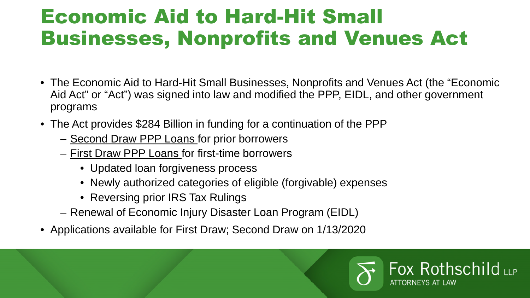#### Economic Aid to Hard-Hit Small Businesses, Nonprofits and Venues Act

- The Economic Aid to Hard-Hit Small Businesses, Nonprofits and Venues Act (the "Economic Aid Act" or "Act") was signed into law and modified the PPP, EIDL, and other government programs
- The Act provides \$284 Billion in funding for a continuation of the PPP
	- Second Draw PPP Loans for prior borrowers
	- First Draw PPP Loans for first-time borrowers
		- Updated loan forgiveness process
		- Newly authorized categories of eligible (forgivable) expenses
		- Reversing prior IRS Tax Rulings
	- Renewal of Economic Injury Disaster Loan Program (EIDL)
- Applications available for First Draw; Second Draw on 1/13/2020

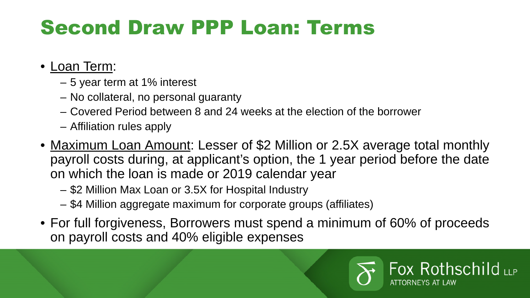## Second Draw PPP Loan: Terms

#### • Loan Term:

- 5 year term at 1% interest
- No collateral, no personal guaranty
- Covered Period between 8 and 24 weeks at the election of the borrower
- Affiliation rules apply
- Maximum Loan Amount: Lesser of \$2 Million or 2.5X average total monthly payroll costs during, at applicant's option, the 1 year period before the date on which the loan is made or 2019 calendar year
	- \$2 Million Max Loan or 3.5X for Hospital Industry
	- \$4 Million aggregate maximum for corporate groups (affiliates)
- For full forgiveness, Borrowers must spend a minimum of 60% of proceeds on payroll costs and 40% eligible expenses

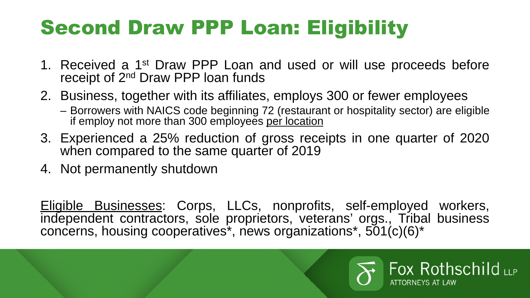## Second Draw PPP Loan: Eligibility

- 1. Received a 1<sup>st</sup> Draw PPP Loan and used or will use proceeds before receipt of 2<sup>nd</sup> Draw PPP loan funds
- 2. Business, together with its affiliates, employs 300 or fewer employees
	- Borrowers with NAICS code beginning 72 (restaurant or hospitality sector) are eligible if employ not more than 300 employees per location
- 3. Experienced a 25% reduction of gross receipts in one quarter of 2020 when compared to the same quarter of 2019
- 4. Not permanently shutdown

Eligible Businesses: Corps, LLCs, nonprofits, self-employed workers, independent contractors, sole proprietors, veterans' orgs., Tribal business concerns, housing cooperatives\*, news organizations\*, 501(c)(6)\*

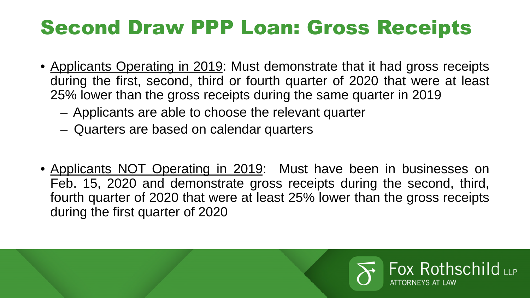#### Second Draw PPP Loan: Gross Receipts

- Applicants Operating in 2019: Must demonstrate that it had gross receipts during the first, second, third or fourth quarter of 2020 that were at least 25% lower than the gross receipts during the same quarter in 2019
	- Applicants are able to choose the relevant quarter
	- Quarters are based on calendar quarters
- Applicants NOT Operating in 2019: Must have been in businesses on Feb. 15, 2020 and demonstrate gross receipts during the second, third, fourth quarter of 2020 that were at least 25% lower than the gross receipts during the first quarter of 2020

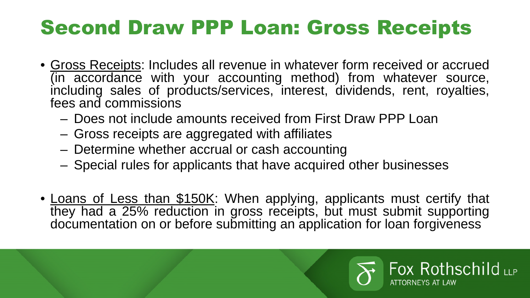#### Second Draw PPP Loan: Gross Receipts

- Gross Receipts: Includes all revenue in whatever form received or accrued (in accordance with your accounting method) from whatever source, including sales of products/services, interest, dividends, rent, royalties, fees and commissions
	- Does not include amounts received from First Draw PPP Loan
	- Gross receipts are aggregated with affiliates
	- Determine whether accrual or cash accounting
	- Special rules for applicants that have acquired other businesses
- Loans of Less than \$150K: When applying, applicants must certify that they had a 25% reduction in gross receipts, but must submit supporting documentation on or before submitting an application for loan forgiveness

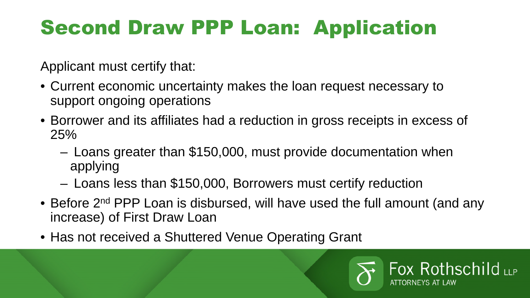# Second Draw PPP Loan: Application

Applicant must certify that:

- Current economic uncertainty makes the loan request necessary to support ongoing operations
- Borrower and its affiliates had a reduction in gross receipts in excess of 25%
	- Loans greater than \$150,000, must provide documentation when applying
	- Loans less than \$150,000, Borrowers must certify reduction
- Before 2<sup>nd</sup> PPP Loan is disbursed, will have used the full amount (and any increase) of First Draw Loan
- Has not received a Shuttered Venue Operating Grant

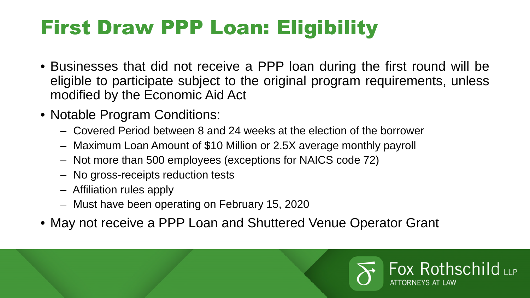# First Draw PPP Loan: Eligibility

- Businesses that did not receive a PPP loan during the first round will be eligible to participate subject to the original program requirements, unless modified by the Economic Aid Act
- Notable Program Conditions:
	- Covered Period between 8 and 24 weeks at the election of the borrower
	- Maximum Loan Amount of \$10 Million or 2.5X average monthly payroll
	- Not more than 500 employees (exceptions for NAICS code 72)
	- No gross-receipts reduction tests
	- Affiliation rules apply
	- Must have been operating on February 15, 2020
- May not receive a PPP Loan and Shuttered Venue Operator Grant

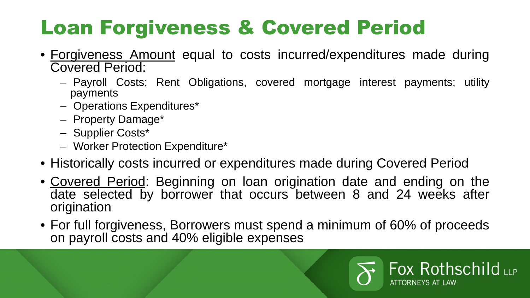# Loan Forgiveness & Covered Period

- Forgiveness Amount equal to costs incurred/expenditures made during Covered Period:
	- Payroll Costs; Rent Obligations, covered mortgage interest payments; utility payments
	- Operations Expenditures\*
	- Property Damage\*
	- Supplier Costs\*
	- Worker Protection Expenditure\*
- Historically costs incurred or expenditures made during Covered Period
- Covered Period: Beginning on loan origination date and ending on the date selected by borrower that occurs between 8 and 24 weeks after origination
- For full forgiveness, Borrowers must spend a minimum of 60% of proceeds on payroll costs and 40% eligible expenses

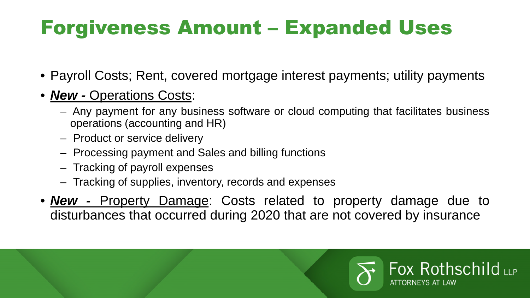## Forgiveness Amount – Expanded Uses

- Payroll Costs; Rent, covered mortgage interest payments; utility payments
- *New -* Operations Costs:
	- Any payment for any business software or cloud computing that facilitates business operations (accounting and HR)
	- Product or service delivery
	- Processing payment and Sales and billing functions
	- Tracking of payroll expenses
	- Tracking of supplies, inventory, records and expenses
- *New -* Property Damage: Costs related to property damage due to disturbances that occurred during 2020 that are not covered by insurance

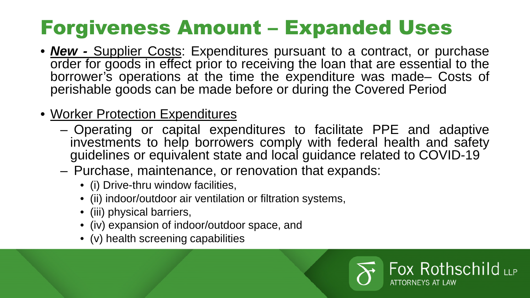## Forgiveness Amount – Expanded Uses

- **New -** Supplier Costs: Expenditures pursuant to a contract, or purchase order for goods in effect prior to receiving the loan that are essential to the borrower's operations at the time the expenditure was made– Costs of perishable goods can be made before or during the Covered Period
- Worker Protection Expenditures
	- Operating or capital expenditures to facilitate PPE and adaptive investments to help borrowers comply with federal health and safety guidelines or equivalent state and local guidance related to COVID-19
	- Purchase, maintenance, or renovation that expands:
		- (i) Drive-thru window facilities,
		- (ii) indoor/outdoor air ventilation or filtration systems,
		- (iii) physical barriers,
		- (iv) expansion of indoor/outdoor space, and
		- (v) health screening capabilities

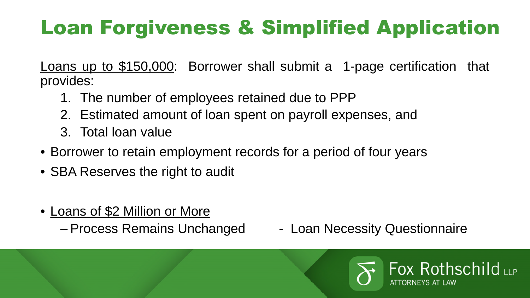# Loan Forgiveness & Simplified Application

Loans up to \$150,000: Borrower shall submit a 1-page certification that provides:

- 1. The number of employees retained due to PPP
- 2. Estimated amount of loan spent on payroll expenses, and
- 3. Total loan value
- Borrower to retain employment records for a period of four years
- SBA Reserves the right to audit
- Loans of \$2 Million or More
	-
	- Process Remains Unchanged Loan Necessity Questionnaire

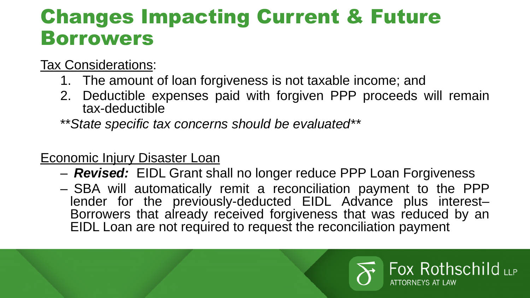#### Changes Impacting Current & Future Borrowers

#### Tax Considerations:

- 1. The amount of loan forgiveness is not taxable income; and
- 2. Deductible expenses paid with forgiven PPP proceeds will remain tax-deductible
- \*\**State specific tax concerns should be evaluated\*\**

#### Economic Injury Disaster Loan

- *Revised:* EIDL Grant shall no longer reduce PPP Loan Forgiveness
- SBA will automatically remit a reconciliation payment to the PPP lender for the previously-deducted EIDL Advance plus interest-Borrowers that already received forgiveness that was reduced by an EIDL Loan are not required to request the reconciliation payment

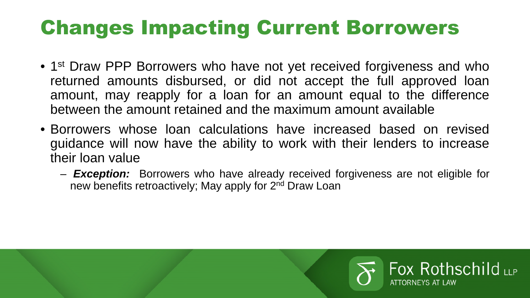## Changes Impacting Current Borrowers

- 1<sup>st</sup> Draw PPP Borrowers who have not yet received forgiveness and who returned amounts disbursed, or did not accept the full approved loan amount, may reapply for a loan for an amount equal to the difference between the amount retained and the maximum amount available
- Borrowers whose loan calculations have increased based on revised guidance will now have the ability to work with their lenders to increase their loan value
	- *Exception:* Borrowers who have already received forgiveness are not eligible for new benefits retroactively; May apply for 2<sup>nd</sup> Draw Loan

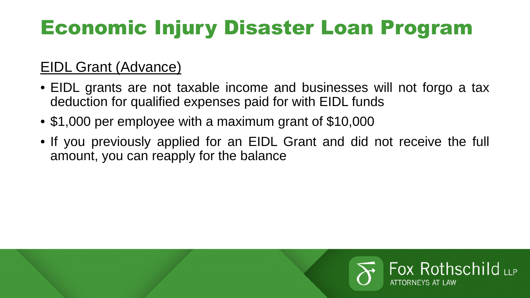# Economic Injury Disaster Loan Program

#### EIDL Grant (Advance)

- EIDL grants are not taxable income and businesses will not forgo a tax deduction for qualified expenses paid for with EIDL funds
- \$1,000 per employee with a maximum grant of \$10,000
- If you previously applied for an EIDL Grant and did not receive the full amount, you can reapply for the balance

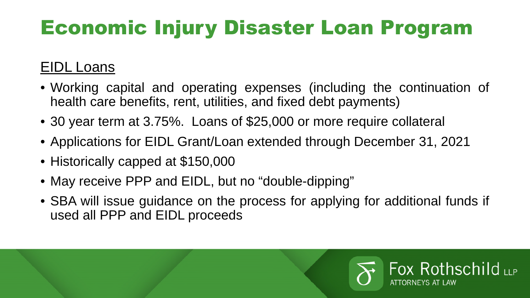# Economic Injury Disaster Loan Program

#### EIDL Loans

- Working capital and operating expenses (including the continuation of health care benefits, rent, utilities, and fixed debt payments)
- 30 year term at 3.75%. Loans of \$25,000 or more require collateral
- Applications for EIDL Grant/Loan extended through December 31, 2021
- Historically capped at \$150,000
- May receive PPP and EIDL, but no "double-dipping"
- SBA will issue guidance on the process for applying for additional funds if used all PPP and EIDL proceeds